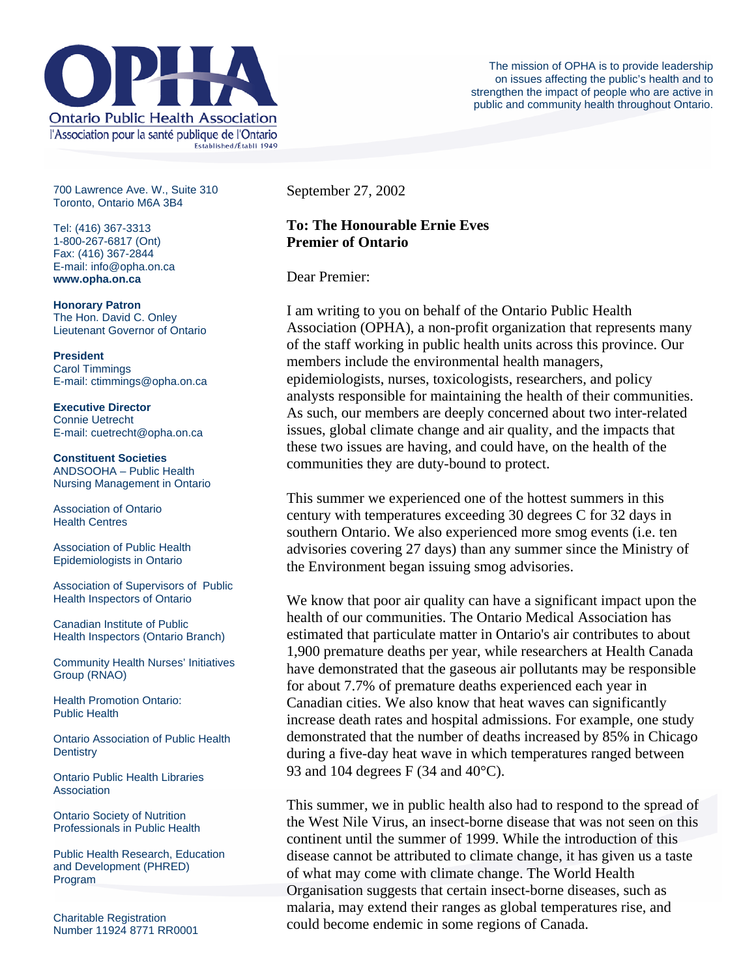

700 Lawrence Ave. W., Suite 310 Toronto, Ontario M6A 3B4

Tel: (416) 367-3313 1-800-267-6817 (Ont) Fax: (416) 367-2844 E-mail: info@opha.on.ca **www.opha.on.ca** 

**Honorary Patron**  The Hon. David C. Onley Lieutenant Governor of Ontario

**President**  Carol Timmings E-mail: ctimmings@opha.on.ca

**Executive Director**  Connie Uetrecht E-mail: cuetrecht@opha.on.ca

**Constituent Societies**  ANDSOOHA – Public Health Nursing Management in Ontario

Association of Ontario Health Centres

Association of Public Health Epidemiologists in Ontario

Association of Supervisors of Public Health Inspectors of Ontario

Canadian Institute of Public Health Inspectors (Ontario Branch)

Community Health Nurses' Initiatives Group (RNAO)

Health Promotion Ontario: Public Health

Ontario Association of Public Health **Dentistry** 

Ontario Public Health Libraries **Association** 

Ontario Society of Nutrition Professionals in Public Health

Public Health Research, Education and Development (PHRED) Program

Charitable Registration Number 11924 8771 RR0001 September 27, 2002

## **To: The Honourable Ernie Eves Premier of Ontario**

Dear Premier:

I am writing to you on behalf of the Ontario Public Health Association (OPHA), a non-profit organization that represents many of the staff working in public health units across this province. Our members include the environmental health managers, epidemiologists, nurses, toxicologists, researchers, and policy analysts responsible for maintaining the health of their communities. As such, our members are deeply concerned about two inter-related issues, global climate change and air quality, and the impacts that these two issues are having, and could have, on the health of the communities they are duty-bound to protect.

This summer we experienced one of the hottest summers in this century with temperatures exceeding 30 degrees C for 32 days in southern Ontario. We also experienced more smog events (i.e. ten advisories covering 27 days) than any summer since the Ministry of the Environment began issuing smog advisories.

We know that poor air quality can have a significant impact upon the health of our communities. The Ontario Medical Association has estimated that particulate matter in Ontario's air contributes to about 1,900 premature deaths per year, while researchers at Health Canada have demonstrated that the gaseous air pollutants may be responsible for about 7.7% of premature deaths experienced each year in Canadian cities. We also know that heat waves can significantly increase death rates and hospital admissions. For example, one study demonstrated that the number of deaths increased by 85% in Chicago during a five-day heat wave in which temperatures ranged between 93 and 104 degrees F (34 and 40°C).

This summer, we in public health also had to respond to the spread of the West Nile Virus, an insect-borne disease that was not seen on this continent until the summer of 1999. While the introduction of this disease cannot be attributed to climate change, it has given us a taste of what may come with climate change. The World Health Organisation suggests that certain insect-borne diseases, such as malaria, may extend their ranges as global temperatures rise, and could become endemic in some regions of Canada.